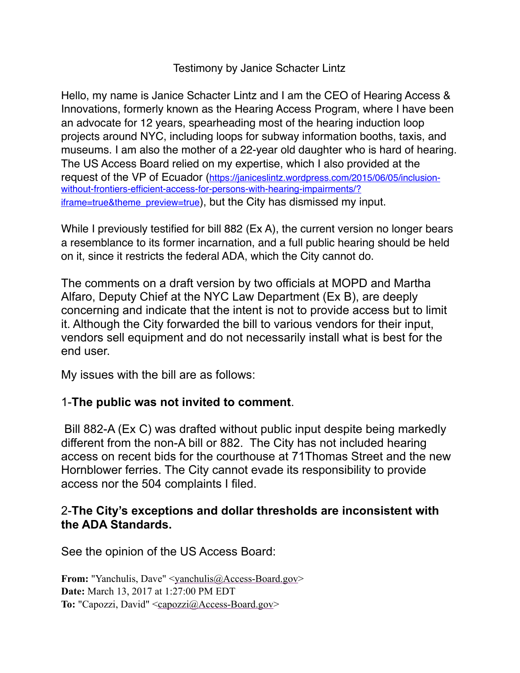Testimony by Janice Schacter Lintz

Hello, my name is Janice Schacter Lintz and I am the CEO of Hearing Access & Innovations, formerly known as the Hearing Access Program, where I have been an advocate for 12 years, spearheading most of the hearing induction loop projects around NYC, including loops for subway information booths, taxis, and museums. I am also the mother of a 22-year old daughter who is hard of hearing. The US Access Board relied on my expertise, which I also provided at the request of the VP of Ecuador (https://janiceslintz.wordpress.com/2015/06/05/inclusionwithout-frontiers-efficient-access-for-persons-with-hearing-impairments/? [iframe=true&theme\\_preview=true\), but the City has dismissed my input.](https://janiceslintz.wordpress.com/2015/06/05/inclusion-without-frontiers-efficient-access-for-persons-with-hearing-impairments/?iframe=true&theme_preview=true)

While I previously testified for bill 882 (Ex A), the current version no longer bears a resemblance to its former incarnation, and a full public hearing should be held on it, since it restricts the federal ADA, which the City cannot do.

The comments on a draft version by two officials at MOPD and Martha Alfaro, Deputy Chief at the NYC Law Department (Ex B), are deeply concerning and indicate that the intent is not to provide access but to limit it. Although the City forwarded the bill to various vendors for their input, vendors sell equipment and do not necessarily install what is best for the end user.

My issues with the bill are as follows:

#### 1-**The public was not invited to comment**.

 Bill 882-A (Ex C) was drafted without public input despite being markedly different from the non-A bill or 882. The City has not included hearing access on recent bids for the courthouse at 71Thomas Street and the new Hornblower ferries. The City cannot evade its responsibility to provide access nor the 504 complaints I filed.

#### 2-**The City's exceptions and dollar thresholds are inconsistent with the ADA Standards.**

See the opinion of the US Access Board:

**From:** "Yanchulis, Dave" <[yanchulis@Access-Board.gov](mailto:yanchulis@Access-Board.gov)> **Date:** March 13, 2017 at 1:27:00 PM EDT **To:** "Capozzi, David" [<capozzi@Access-Board.gov](mailto:capozzi@Access-Board.gov)>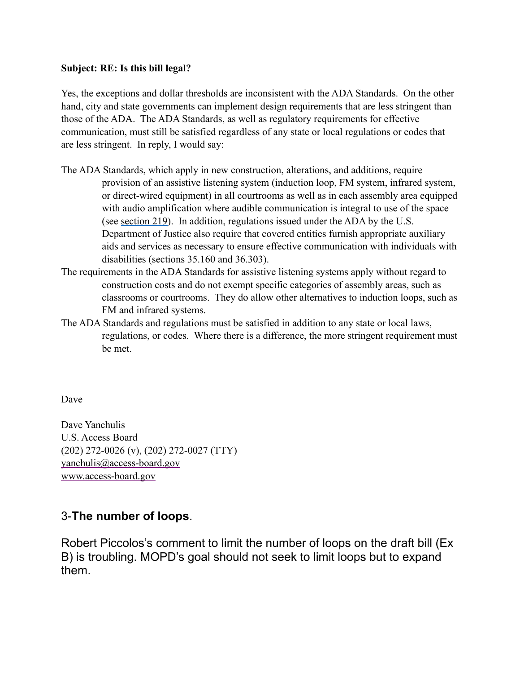#### **Subject: RE: Is this bill legal?**

Yes, the exceptions and dollar thresholds are inconsistent with the ADA Standards. On the other hand, city and state governments can implement design requirements that are less stringent than those of the ADA. The ADA Standards, as well as regulatory requirements for effective communication, must still be satisfied regardless of any state or local regulations or codes that are less stringent. In reply, I would say:

- The ADA Standards, which apply in new construction, alterations, and additions, require provision of an assistive listening system (induction loop, FM system, infrared system, or direct-wired equipment) in all courtrooms as well as in each assembly area equipped with audio amplification where audible communication is integral to use of the space (see [section 219](https://www.access-board.gov/guidelines-and-standards/buildings-and-sites/about-the-ada-standards/ada-standards/chapter-2-scoping-requirements%23219%2520Assistive%2520Listening%2520Systems)). In addition, regulations issued under the ADA by the U.S. Department of Justice also require that covered entities furnish appropriate auxiliary aids and services as necessary to ensure effective communication with individuals with disabilities (sections 35.160 and 36.303).
- The requirements in the ADA Standards for assistive listening systems apply without regard to construction costs and do not exempt specific categories of assembly areas, such as classrooms or courtrooms. They do allow other alternatives to induction loops, such as FM and infrared systems.
- The ADA Standards and regulations must be satisfied in addition to any state or local laws, regulations, or codes. Where there is a difference, the more stringent requirement must be met.

Dave

Dave Yanchulis U.S. Access Board (202) 272-0026 (v), (202) 272-0027 (TTY) [yanchulis@access-board.gov](mailto:yanchulis@access-board.gov) [www.access-board.gov](http://www.access-board.gov/)

#### 3-**The number of loops**.

Robert Piccolos's comment to limit the number of loops on the draft bill (Ex B) is troubling. MOPD's goal should not seek to limit loops but to expand them.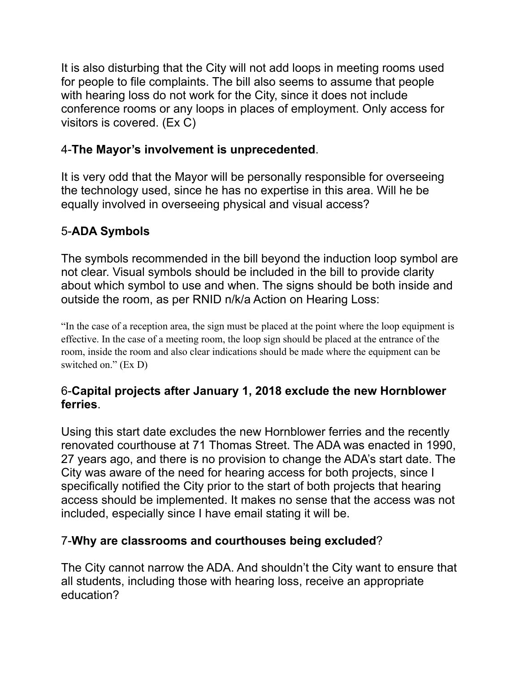It is also disturbing that the City will not add loops in meeting rooms used for people to file complaints. The bill also seems to assume that people with hearing loss do not work for the City, since it does not include conference rooms or any loops in places of employment. Only access for visitors is covered. (Ex C)

#### 4-**The Mayor's involvement is unprecedented**.

It is very odd that the Mayor will be personally responsible for overseeing the technology used, since he has no expertise in this area. Will he be equally involved in overseeing physical and visual access?

### 5-**ADA Symbols**

The symbols recommended in the bill beyond the induction loop symbol are not clear. Visual symbols should be included in the bill to provide clarity about which symbol to use and when. The signs should be both inside and outside the room, as per RNID n/k/a Action on Hearing Loss:

"In the case of a reception area, the sign must be placed at the point where the loop equipment is effective. In the case of a meeting room, the loop sign should be placed at the entrance of the room, inside the room and also clear indications should be made where the equipment can be switched on." (Ex D)

#### 6-**Capital projects after January 1, 2018 exclude the new Hornblower ferries**.

Using this start date excludes the new Hornblower ferries and the recently renovated courthouse at 71 Thomas Street. The ADA was enacted in 1990, 27 years ago, and there is no provision to change the ADA's start date. The City was aware of the need for hearing access for both projects, since I specifically notified the City prior to the start of both projects that hearing access should be implemented. It makes no sense that the access was not included, especially since I have email stating it will be.

#### 7-**Why are classrooms and courthouses being excluded**?

The City cannot narrow the ADA. And shouldn't the City want to ensure that all students, including those with hearing loss, receive an appropriate education?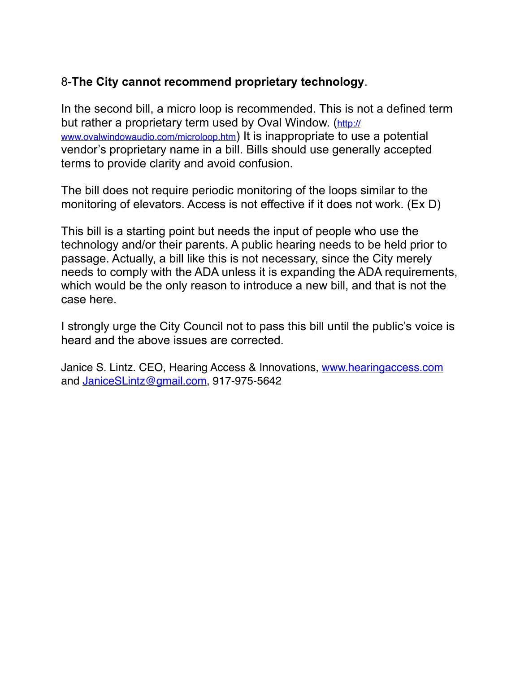#### 8-**The City cannot recommend proprietary technology**.

In the second bill, a micro loop is recommended. This is not a defined term [but rather a proprietary term used by Oval Window. \(](http://www.ovalwindowaudio.com/microloop.htm)http:// www.ovalwindowaudio.com/microloop.htm) It is inappropriate to use a potential vendor's proprietary name in a bill. Bills should use generally accepted terms to provide clarity and avoid confusion.

The bill does not require periodic monitoring of the loops similar to the monitoring of elevators. Access is not effective if it does not work. (Ex D)

This bill is a starting point but needs the input of people who use the technology and/or their parents. A public hearing needs to be held prior to passage. Actually, a bill like this is not necessary, since the City merely needs to comply with the ADA unless it is expanding the ADA requirements, which would be the only reason to introduce a new bill, and that is not the case here.

I strongly urge the City Council not to pass this bill until the public's voice is heard and the above issues are corrected.

Janice S. Lintz. CEO, Hearing Access & Innovations, [www.hearingaccess.com](http://www.hearingaccess.com) and [JaniceSLintz@gmail.com](mailto:JaniceSLintz@gmail.com), 917-975-5642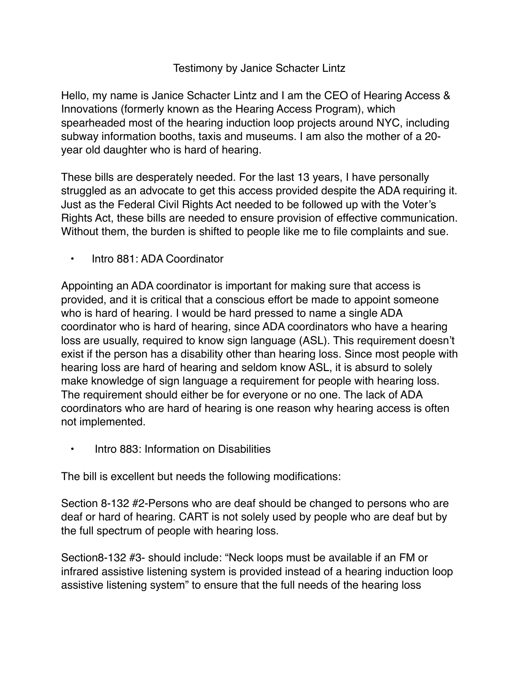#### Testimony by Janice Schacter Lintz

Hello, my name is Janice Schacter Lintz and I am the CEO of Hearing Access & Innovations (formerly known as the Hearing Access Program), which spearheaded most of the hearing induction loop projects around NYC, including subway information booths, taxis and museums. I am also the mother of a 20 year old daughter who is hard of hearing.

These bills are desperately needed. For the last 13 years, I have personally struggled as an advocate to get this access provided despite the ADA requiring it. Just as the Federal Civil Rights Act needed to be followed up with the Voter's Rights Act, these bills are needed to ensure provision of effective communication. Without them, the burden is shifted to people like me to file complaints and sue.

• Intro 881: ADA Coordinator

Appointing an ADA coordinator is important for making sure that access is provided, and it is critical that a conscious effort be made to appoint someone who is hard of hearing. I would be hard pressed to name a single ADA coordinator who is hard of hearing, since ADA coordinators who have a hearing loss are usually, required to know sign language (ASL). This requirement doesn't exist if the person has a disability other than hearing loss. Since most people with hearing loss are hard of hearing and seldom know ASL, it is absurd to solely make knowledge of sign language a requirement for people with hearing loss. The requirement should either be for everyone or no one. The lack of ADA coordinators who are hard of hearing is one reason why hearing access is often not implemented.

• Intro 883: Information on Disabilities

The bill is excellent but needs the following modifications:

Section 8-132 #2-Persons who are deaf should be changed to persons who are deaf or hard of hearing. CART is not solely used by people who are deaf but by the full spectrum of people with hearing loss.

Section8-132 #3- should include: "Neck loops must be available if an FM or infrared assistive listening system is provided instead of a hearing induction loop assistive listening system" to ensure that the full needs of the hearing loss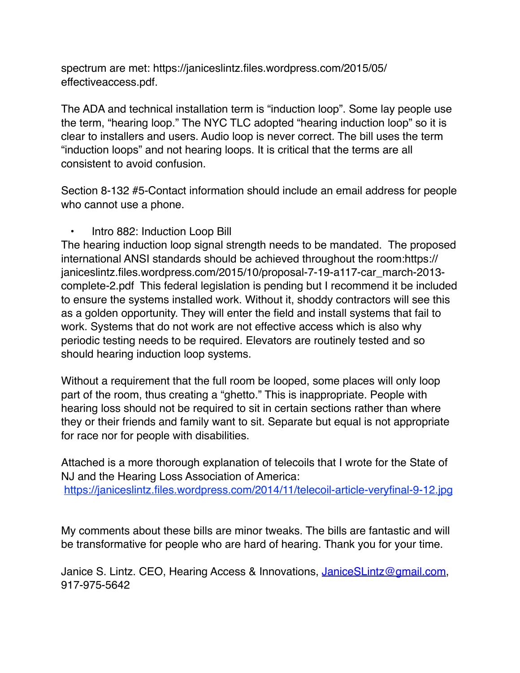[spectrum are met: https://janiceslintz.files.wordpress.com/2015/05/](https://janiceslintz.files.wordpress.com/2015/05/effectiveaccess.pdf) effectiveaccess.pdf.

The ADA and technical installation term is "induction loop". Some lay people use the term, "hearing loop." The NYC TLC adopted "hearing induction loop" so it is clear to installers and users. Audio loop is never correct. The bill uses the term "induction loops" and not hearing loops. It is critical that the terms are all consistent to avoid confusion.

Section 8-132 #5-Contact information should include an email address for people who cannot use a phone.

#### • Intro 882: Induction Loop Bill

The hearing induction loop signal strength needs to be mandated. The proposed international ANSI standards should be achieved throughout the room:https:// janiceslintz.files.wordpress.com/2015/10/proposal-7-19-a117-car\_march-2013 complete-2.pdf This federal legislation is pending but I recommend it be included to ensure the systems installed work. Without it, shoddy contractors will see this as a golden opportunity. They will enter the field and install systems that fail to work. Systems that do not work are not effective access which is also why periodic testing needs to be required. Elevators are routinely tested and so should hearing induction loop systems.

Without a requirement that the full room be looped, some places will only loop part of the room, thus creating a "ghetto." This is inappropriate. People with hearing loss should not be required to sit in certain sections rather than where they or their friends and family want to sit. Separate but equal is not appropriate for race nor for people with disabilities.

Attached is a more thorough explanation of telecoils that I wrote for the State of NJ and the Hearing Loss Association of America: <https://janiceslintz.files.wordpress.com/2014/11/telecoil-article-veryfinal-9-12.jpg>

My comments about these bills are minor tweaks. The bills are fantastic and will be transformative for people who are hard of hearing. Thank you for your time.

Janice S. Lintz. CEO, Hearing Access & Innovations, [JaniceSLintz@gmail.com](mailto:JaniceSLintz@gmail.com), 917-975-5642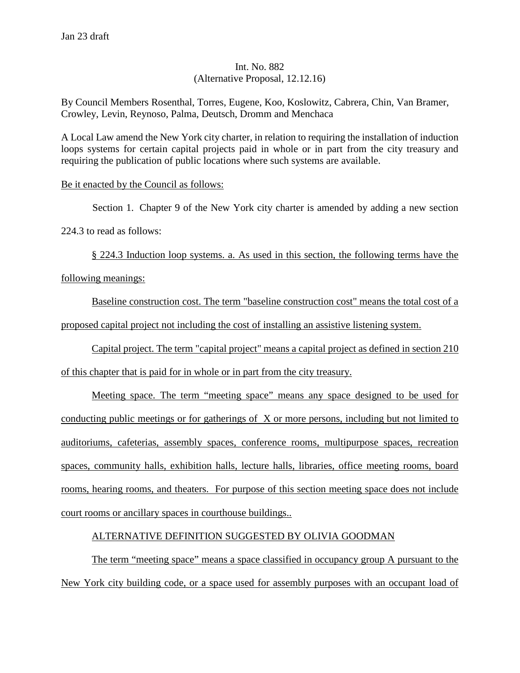#### Int. No. 882 (Alternative Proposal, 12.12.16)

By Council Members Rosenthal, Torres, Eugene, Koo, Koslowitz, Cabrera, Chin, Van Bramer, Crowley, Levin, Reynoso, Palma, Deutsch, Dromm and Menchaca

A Local Law amend the New York city charter, in relation to requiring the installation of induction loops systems for certain capital projects paid in whole or in part from the city treasury and requiring the publication of public locations where such systems are available.

#### Be it enacted by the Council as follows:

Section 1. Chapter 9 of the New York city charter is amended by adding a new section 224.3 to read as follows:

§ 224.3 Induction loop systems. a. As used in this section, the following terms have the following meanings:

Baseline construction cost. The term "baseline construction cost" means the total cost of a proposed capital project not including the cost of installing an assistive listening system.

Capital project. The term "capital project" means a capital project as defined in section 210 of this chapter that is paid for in whole or in part from the city treasury.

Meeting space. The term "meeting space" means any space designed to be used for conducting public meetings or for gatherings of X or more persons, including but not limited to auditoriums, cafeterias, assembly spaces, conference rooms, multipurpose spaces, recreation spaces, community halls, exhibition halls, lecture halls, libraries, office meeting rooms, board rooms, hearing rooms, and theaters. For purpose of this section meeting space does not include court rooms or ancillary spaces in courthouse buildings..

#### ALTERNATIVE DEFINITION SUGGESTED BY OLIVIA GOODMAN

The term "meeting space" means a space classified in occupancy group A pursuant to the New York city building code, or a space used for assembly purposes with an occupant load of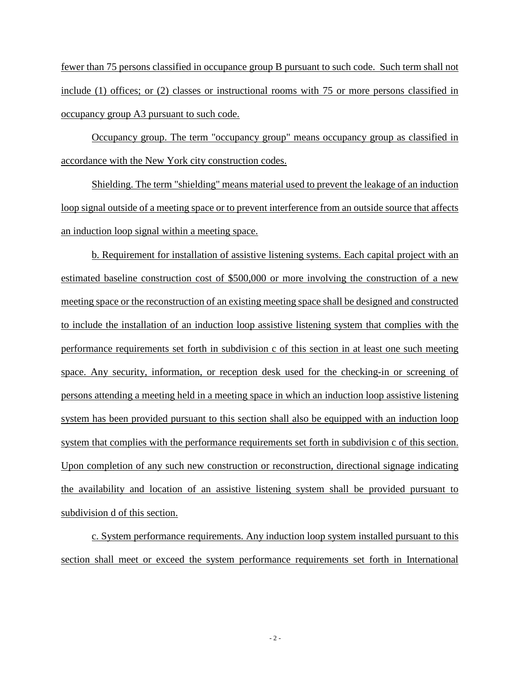fewer than 75 persons classified in occupance group B pursuant to such code. Such term shall not include (1) offices; or (2) classes or instructional rooms with 75 or more persons classified in occupancy group A3 pursuant to such code.

Occupancy group. The term "occupancy group" means occupancy group as classified in accordance with the New York city construction codes.

Shielding. The term "shielding" means material used to prevent the leakage of an induction loop signal outside of a meeting space or to prevent interference from an outside source that affects an induction loop signal within a meeting space.

b. Requirement for installation of assistive listening systems. Each capital project with an estimated baseline construction cost of \$500,000 or more involving the construction of a new meeting space or the reconstruction of an existing meeting space shall be designed and constructed to include the installation of an induction loop assistive listening system that complies with the performance requirements set forth in subdivision c of this section in at least one such meeting space. Any security, information, or reception desk used for the checking-in or screening of persons attending a meeting held in a meeting space in which an induction loop assistive listening system has been provided pursuant to this section shall also be equipped with an induction loop system that complies with the performance requirements set forth in subdivision c of this section. Upon completion of any such new construction or reconstruction, directional signage indicating the availability and location of an assistive listening system shall be provided pursuant to subdivision d of this section.

c. System performance requirements. Any induction loop system installed pursuant to this section shall meet or exceed the system performance requirements set forth in International

- 2 -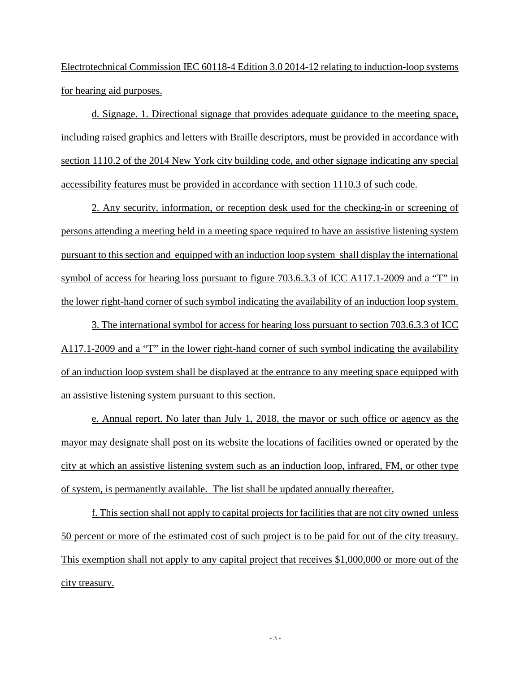Electrotechnical Commission IEC 60118-4 Edition 3.0 2014-12 relating to induction-loop systems for hearing aid purposes.

d. Signage. 1. Directional signage that provides adequate guidance to the meeting space, including raised graphics and letters with Braille descriptors, must be provided in accordance with section 1110.2 of the 2014 New York city building code, and other signage indicating any special accessibility features must be provided in accordance with section 1110.3 of such code.

2. Any security, information, or reception desk used for the checking-in or screening of persons attending a meeting held in a meeting space required to have an assistive listening system pursuant to this section and equipped with an induction loop system shall display the international symbol of access for hearing loss pursuant to figure 703.6.3.3 of ICC A117.1-2009 and a "T" in the lower right-hand corner of such symbol indicating the availability of an induction loop system.

3. The international symbol for access for hearing loss pursuant to section 703.6.3.3 of ICC A117.1-2009 and a "T" in the lower right-hand corner of such symbol indicating the availability of an induction loop system shall be displayed at the entrance to any meeting space equipped with an assistive listening system pursuant to this section.

e. Annual report. No later than July 1, 2018, the mayor or such office or agency as the mayor may designate shall post on its website the locations of facilities owned or operated by the city at which an assistive listening system such as an induction loop, infrared, FM, or other type of system, is permanently available. The list shall be updated annually thereafter.

f. This section shall not apply to capital projects for facilities that are not city owned unless 50 percent or more of the estimated cost of such project is to be paid for out of the city treasury. This exemption shall not apply to any capital project that receives \$1,000,000 or more out of the city treasury.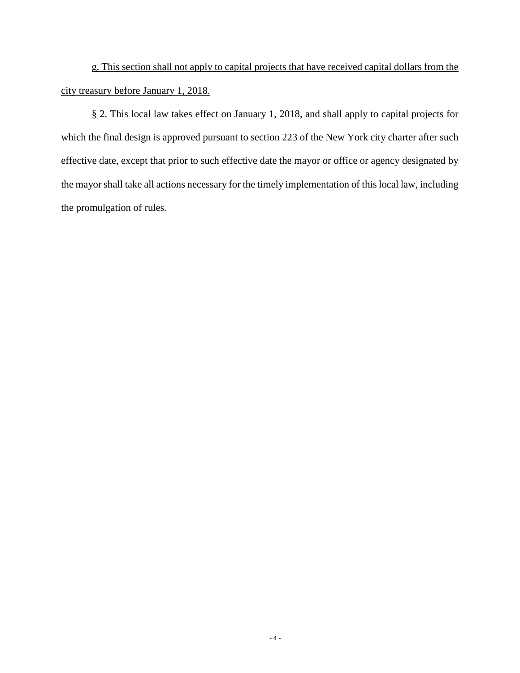g. This section shall not apply to capital projects that have received capital dollars from the city treasury before January 1, 2018.

§ 2. This local law takes effect on January 1, 2018, and shall apply to capital projects for which the final design is approved pursuant to section 223 of the New York city charter after such effective date, except that prior to such effective date the mayor or office or agency designated by the mayor shall take all actions necessary for the timely implementation of this local law, including the promulgation of rules.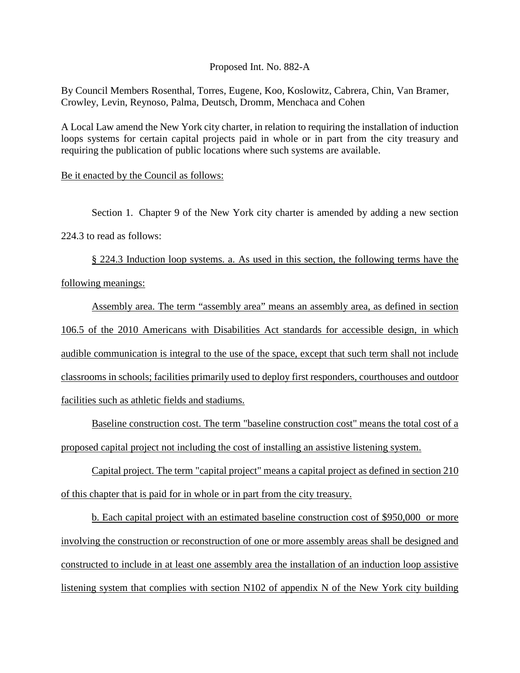Proposed Int. No. 882-A

By Council Members Rosenthal, Torres, Eugene, Koo, Koslowitz, Cabrera, Chin, Van Bramer, Crowley, Levin, Reynoso, Palma, Deutsch, Dromm, Menchaca and Cohen

A Local Law amend the New York city charter, in relation to requiring the installation of induction loops systems for certain capital projects paid in whole or in part from the city treasury and requiring the publication of public locations where such systems are available.

#### Be it enacted by the Council as follows:

Section 1. Chapter 9 of the New York city charter is amended by adding a new section 224.3 to read as follows:

§ 224.3 Induction loop systems. a. As used in this section, the following terms have the following meanings:

Assembly area. The term "assembly area" means an assembly area, as defined in section 106.5 of the 2010 Americans with Disabilities Act standards for accessible design, in which audible communication is integral to the use of the space, except that such term shall not include classrooms in schools; facilities primarily used to deploy first responders, courthouses and outdoor facilities such as athletic fields and stadiums.

Baseline construction cost. The term "baseline construction cost" means the total cost of a proposed capital project not including the cost of installing an assistive listening system.

Capital project. The term "capital project" means a capital project as defined in section 210 of this chapter that is paid for in whole or in part from the city treasury.

b. Each capital project with an estimated baseline construction cost of \$950,000 or more involving the construction or reconstruction of one or more assembly areas shall be designed and constructed to include in at least one assembly area the installation of an induction loop assistive listening system that complies with section N102 of appendix N of the New York city building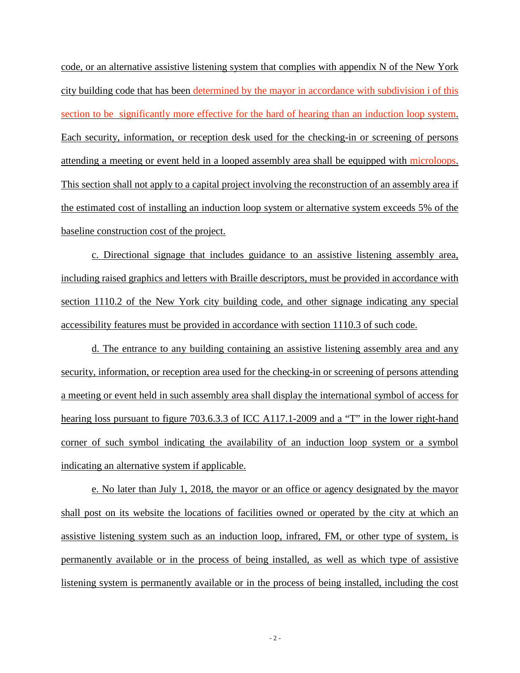code, or an alternative assistive listening system that complies with appendix N of the New York city building code that has been determined by the mayor in accordance with subdivision i of this section to be significantly more effective for the hard of hearing than an induction loop system. Each security, information, or reception desk used for the checking-in or screening of persons attending a meeting or event held in a looped assembly area shall be equipped with microloops. This section shall not apply to a capital project involving the reconstruction of an assembly area if the estimated cost of installing an induction loop system or alternative system exceeds 5% of the baseline construction cost of the project.

c. Directional signage that includes guidance to an assistive listening assembly area, including raised graphics and letters with Braille descriptors, must be provided in accordance with section 1110.2 of the New York city building code, and other signage indicating any special accessibility features must be provided in accordance with section 1110.3 of such code.

d. The entrance to any building containing an assistive listening assembly area and any security, information, or reception area used for the checking-in or screening of persons attending a meeting or event held in such assembly area shall display the international symbol of access for hearing loss pursuant to figure 703.6.3.3 of ICC A117.1-2009 and a "T" in the lower right-hand corner of such symbol indicating the availability of an induction loop system or a symbol indicating an alternative system if applicable.

e. No later than July 1, 2018, the mayor or an office or agency designated by the mayor shall post on its website the locations of facilities owned or operated by the city at which an assistive listening system such as an induction loop, infrared, FM, or other type of system, is permanently available or in the process of being installed, as well as which type of assistive listening system is permanently available or in the process of being installed, including the cost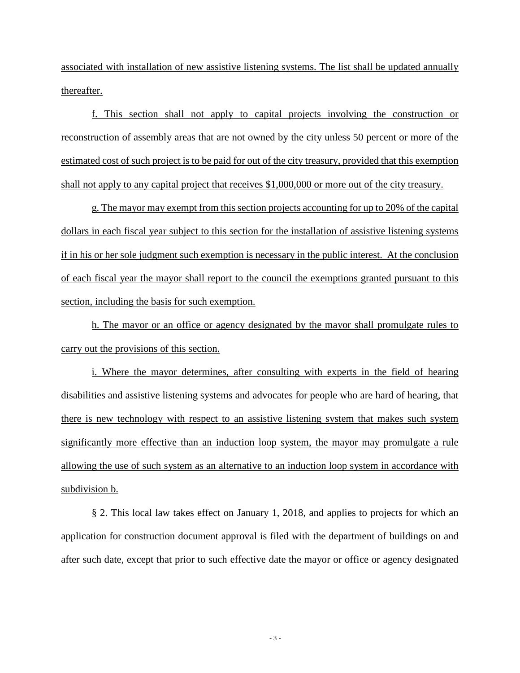associated with installation of new assistive listening systems. The list shall be updated annually thereafter.

f. This section shall not apply to capital projects involving the construction or reconstruction of assembly areas that are not owned by the city unless 50 percent or more of the estimated cost of such project is to be paid for out of the city treasury, provided that this exemption shall not apply to any capital project that receives \$1,000,000 or more out of the city treasury.

g. The mayor may exempt from this section projects accounting for up to 20% of the capital dollars in each fiscal year subject to this section for the installation of assistive listening systems if in his or her sole judgment such exemption is necessary in the public interest. At the conclusion of each fiscal year the mayor shall report to the council the exemptions granted pursuant to this section, including the basis for such exemption.

h. The mayor or an office or agency designated by the mayor shall promulgate rules to carry out the provisions of this section.

i. Where the mayor determines, after consulting with experts in the field of hearing disabilities and assistive listening systems and advocates for people who are hard of hearing, that there is new technology with respect to an assistive listening system that makes such system significantly more effective than an induction loop system, the mayor may promulgate a rule allowing the use of such system as an alternative to an induction loop system in accordance with subdivision b.

§ 2. This local law takes effect on January 1, 2018, and applies to projects for which an application for construction document approval is filed with the department of buildings on and after such date, except that prior to such effective date the mayor or office or agency designated

- 3 -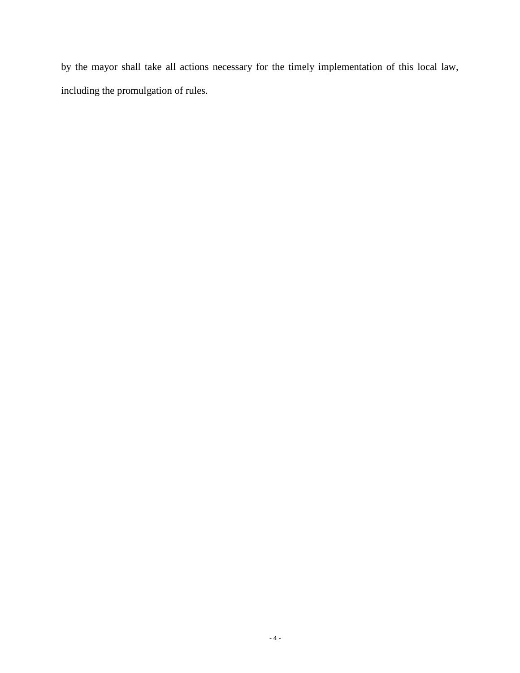by the mayor shall take all actions necessary for the timely implementation of this local law, including the promulgation of rules.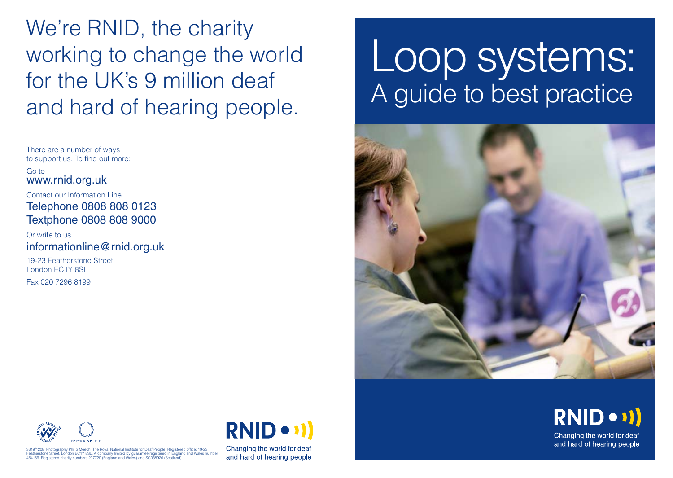We're RNID, the charity working to change the world for the UK's 9 million deaf and hard of hearing people.

There are a number of ways to support us. To find out more:

Go to www.rnid.org.uk

Contact our Information Line Telephone 0808 808 0123 Textphone 0808 808 9000

Or write to us informationline@rnid.org.uk

19-23 Featherstone Street London EC1Y 8SL Fax 020 7296 8199

# Loop systems: A guide to best practice





3319/1208 Photography Philip Meech. The Royal National Institute for Deaf People. Registered office: 19-23 Featherstone Street, London EC1Y 8SL. A company limited by guarantee registered in England and Wales number 454169. Registered charity numbers 207720 (England and Wales) and SC038926 (Scotland).

**RNID** 

Changing the world for deaf and hard of hearing people RNID . 11) Changing the world for deaf

and hard of hearing people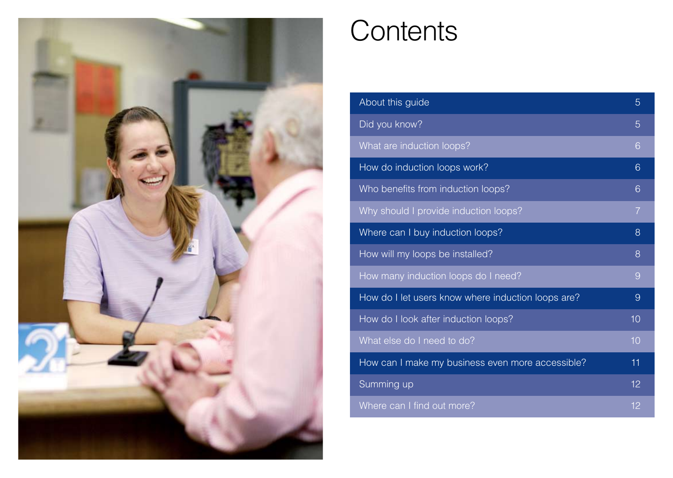

### **Contents**

| About this guide                                   | 5              |
|----------------------------------------------------|----------------|
| Did you know?                                      | 5              |
| What are induction loops?                          | 6              |
| How do induction loops work?                       | 6              |
| Who benefits from induction loops?                 | 6              |
| Why should I provide induction loops?              | $\overline{7}$ |
| Where can I buy induction loops?                   | 8              |
| How will my loops be installed?                    | 8              |
| How many induction loops do I need?                | 9              |
| How do I let users know where induction loops are? | 9              |
| How do I look after induction loops?               | 10             |
| What else do I need to do?                         | 10             |
| How can I make my business even more accessible?   | 11             |
| Summing up                                         | 12             |
| Where can I find out more?                         | 12             |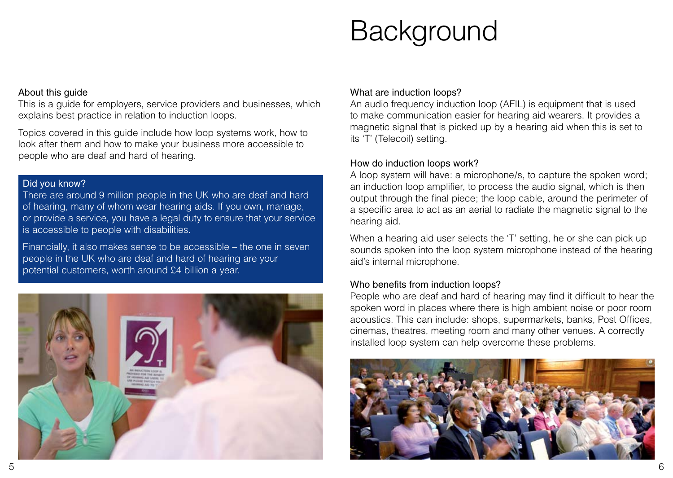## **Background**

#### About this guide

This is a guide for employers, service providers and businesses, which explains best practice in relation to induction loops.

Topics covered in this guide include how loop systems work, how to look after them and how to make your business more accessible to people who are deaf and hard of hearing.<br>
How do induction loops work?

#### Did you know?

There are around 9 million people in the UK who are deaf and hard of hearing, many of whom wear hearing aids. If you own, manage, or provide a service, you have a legal duty to ensure that your service is accessible to people with disabilities.

Financially, it also makes sense to be accessible – the one in seven people in the UK who are deaf and hard of hearing are your potential customers, worth around £4 billion a year.



#### What are induction loops?

An audio frequency induction loop (AFIL) is equipment that is used to make communication easier for hearing aid wearers. It provides a magnetic signal that is picked up by a hearing aid when this is set to its 'T' (Telecoil) setting.

A loop system will have: a microphone/s, to capture the spoken word; an induction loop amplifier, to process the audio signal, which is then output through the final piece; the loop cable, around the perimeter of a specific area to act as an aerial to radiate the magnetic signal to the hearing aid.

When a hearing aid user selects the 'T' setting, he or she can pick up sounds spoken into the loop system microphone instead of the hearing aid's internal microphone.

#### Who benefits from induction loops?

People who are deaf and hard of hearing may find it difficult to hear the spoken word in places where there is high ambient noise or poor room acoustics. This can include: shops, supermarkets, banks, Post Offices, cinemas, theatres, meeting room and many other venues. A correctly installed loop system can help overcome these problems.

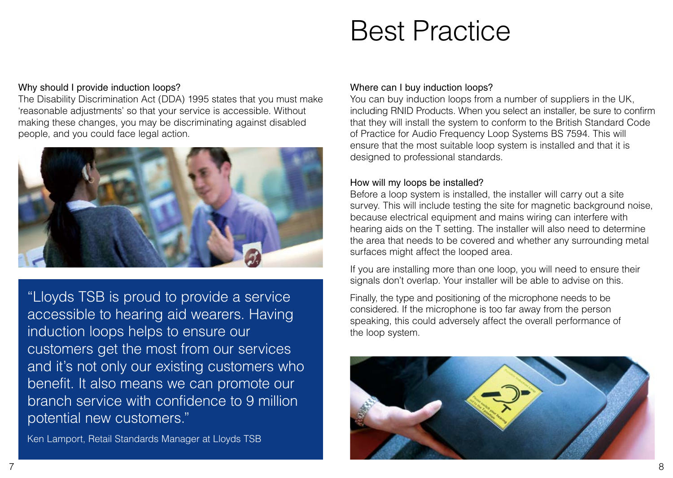### Best Practice

#### Why should I provide induction loops?

The Disability Discrimination Act (DDA) 1995 states that you must make 'reasonable adjustments' so that your service is accessible. Without making these changes, you may be discriminating against disabled people, and you could face legal action.



"Lloyds TSB is proud to provide a service accessible to hearing aid wearers. Having induction loops helps to ensure our customers get the most from our services and it's not only our existing customers who benefit. It also means we can promote our branch service with confidence to 9 million potential new customers."

Ken Lamport, Retail Standards Manager at Lloyds TSB

#### Where can I buy induction loops?

You can buy induction loops from a number of suppliers in the UK, including RNID Products. When you select an installer, be sure to confirm that they will install the system to conform to the British Standard Code of Practice for Audio Frequency Loop Systems BS 7594. This will ensure that the most suitable loop system is installed and that it is designed to professional standards.

#### How will my loops be installed?

Before a loop system is installed, the installer will carry out a site survey. This will include testing the site for magnetic background noise, because electrical equipment and mains wiring can interfere with hearing aids on the T setting. The installer will also need to determine the area that needs to be covered and whether any surrounding metal surfaces might affect the looped area.

If you are installing more than one loop, you will need to ensure their signals don't overlap. Your installer will be able to advise on this.

Finally, the type and positioning of the microphone needs to be considered. If the microphone is too far away from the person speaking, this could adversely affect the overall performance of the loop system.

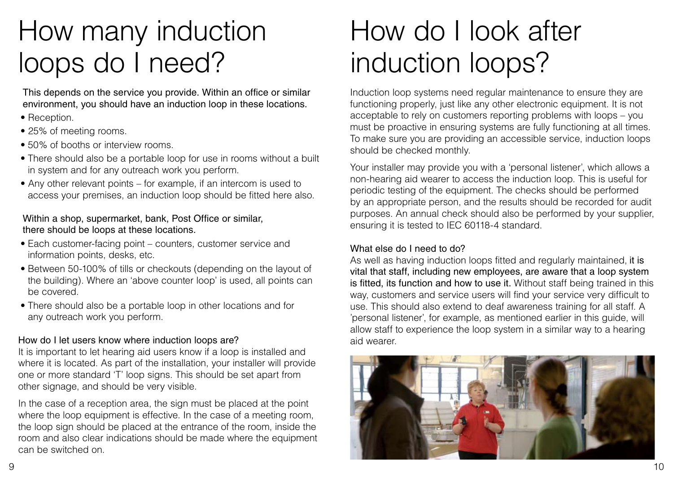### How many induction loops do I need?

This depends on the service you provide. Within an office or similar environment, you should have an induction loop in these locations.

- Reception.
- 25% of meeting rooms.
- 50% of booths or interview rooms
- There should also be a portable loop for use in rooms without a built in system and for any outreach work you perform.
- $\bullet$  Any other relevant points for example, if an intercom is used to access your premises, an induction loop should be fitted here also.

#### Within a shop, supermarket, bank, Post Office or similar, there should be loops at these locations.

- Each customer-facing point counters, customer service and information points, desks, etc.
- Between 50-100% of tills or checkouts (depending on the layout of the building). Where an 'above counter loop' is used, all points can be covered.
- There should also be a portable loop in other locations and for any outreach work you perform.

#### How do I let users know where induction loops are?

It is important to let hearing aid users know if a loop is installed and where it is located. As part of the installation, your installer will provide one or more standard 'T' loop signs. This should be set apart from other signage, and should be very visible.

In the case of a reception area, the sign must be placed at the point where the loop equipment is effective. In the case of a meeting room, the loop sign should be placed at the entrance of the room, inside the room and also clear indications should be made where the equipment can be switched on.

### How do I look after induction loops?

Induction loop systems need regular maintenance to ensure they are functioning properly, just like any other electronic equipment. It is not acceptable to rely on customers reporting problems with loops – you must be proactive in ensuring systems are fully functioning at all times. To make sure you are providing an accessible service, induction loops should be checked monthly.

Your installer may provide you with a 'personal listener', which allows a non-hearing aid wearer to access the induction loop. This is useful for periodic testing of the equipment. The checks should be performed by an appropriate person, and the results should be recorded for audit purposes. An annual check should also be performed by your supplier, ensuring it is tested to IEC 60118-4 standard.

#### What else do I need to do?

As well as having induction loops fitted and regularly maintained, it is vital that staff, including new employees, are aware that a loop system is fitted, its function and how to use it. Without staff being trained in this way, customers and service users will find your service very difficult to use. This should also extend to deaf awareness training for all staff. A 'personal listener', for example, as mentioned earlier in this guide, will allow staff to experience the loop system in a similar way to a hearing aid wearer.